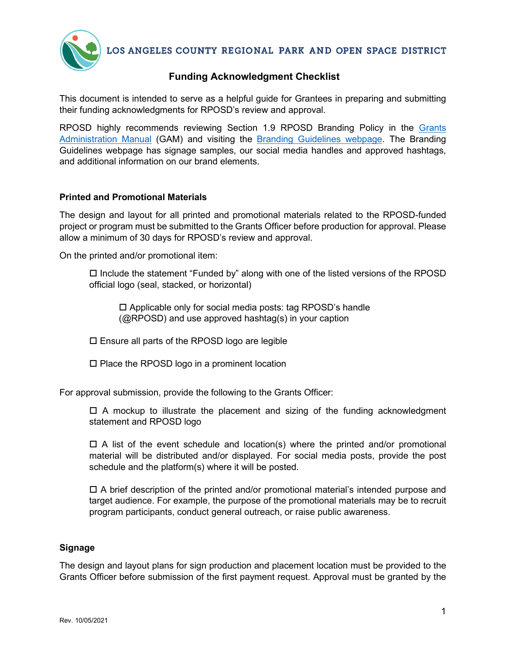

LOS ANGELES COUNTY REGIONAL PARK AND OPEN SPACE DISTRICT

## **Funding Acknowledgment Checklist**

This document is intended to serve as a helpful guide for Grantees in preparing and submitting their funding acknowledgments for RPOSD's review and approval.

RPOSD highly recommends reviewing Section 1.9 RPOSD Branding Policy in the [Grants](https://rposd.lacounty.gov/measure-a-grants-administration-manual/)  [Administration Manual](https://rposd.lacounty.gov/measure-a-grants-administration-manual/) (GAM) and visiting the **Branding Guidelines webpage**. The Branding Guidelines webpage has signage samples, our social media handles and approved hashtags, and additional information on our brand elements.

## **Printed and Promotional Materials**

The design and layout for all printed and promotional materials related to the RPOSD-funded project or program must be submitted to the Grants Officer before production for approval. Please allow a minimum of 30 days for RPOSD's review and approval.

On the printed and/or promotional item:

 $\Box$  Include the statement "Funded by" along with one of the listed versions of the RPOSD official logo (seal, stacked, or horizontal)

□ Applicable only for social media posts: tag RPOSD's handle (@RPOSD) and use approved hashtag(s) in your caption

Ensure all parts of the RPOSD logo are legible

 $\square$  Place the RPOSD logo in a prominent location

For approval submission, provide the following to the Grants Officer:

 $\Box$  A mockup to illustrate the placement and sizing of the funding acknowledgment statement and RPOSD logo

 $\Box$  A list of the event schedule and location(s) where the printed and/or promotional material will be distributed and/or displayed. For social media posts, provide the post schedule and the platform(s) where it will be posted.

 $\Box$  A brief description of the printed and/or promotional material's intended purpose and target audience. For example, the purpose of the promotional materials may be to recruit program participants, conduct general outreach, or raise public awareness.

## **Signage**

The design and layout plans for sign production and placement location must be provided to the Grants Officer before submission of the first payment request. Approval must be granted by the